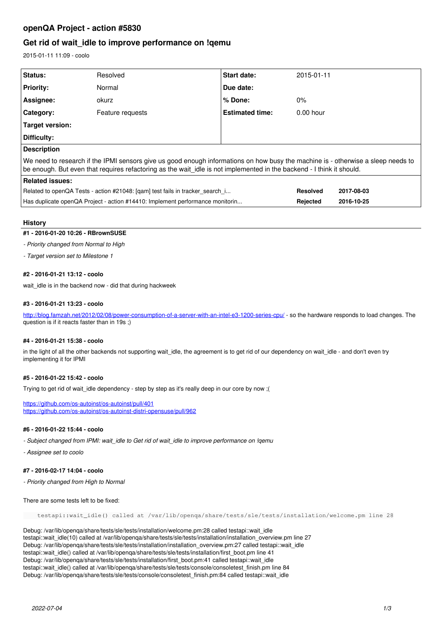# **openQA Project - action #5830**

# **Get rid of wait\_idle to improve performance on !qemu**

2015-01-11 11:09 - coolo

| <b>Status:</b>                                                                                                                                                                                                                                            | Resolved         | Start date:            | 2015-01-11      |            |
|-----------------------------------------------------------------------------------------------------------------------------------------------------------------------------------------------------------------------------------------------------------|------------------|------------------------|-----------------|------------|
| <b>Priority:</b>                                                                                                                                                                                                                                          | Normal           | Due date:              |                 |            |
| Assignee:                                                                                                                                                                                                                                                 | okurz            | % Done:                | $0\%$           |            |
| <b>Category:</b>                                                                                                                                                                                                                                          | Feature requests | <b>Estimated time:</b> | $0.00$ hour     |            |
| <b>Target version:</b>                                                                                                                                                                                                                                    |                  |                        |                 |            |
| Difficulty:                                                                                                                                                                                                                                               |                  |                        |                 |            |
| <b>Description</b>                                                                                                                                                                                                                                        |                  |                        |                 |            |
| We need to research if the IPMI sensors give us good enough informations on how busy the machine is - otherwise a sleep needs to<br>be enough. But even that requires refactoring as the wait_idle is not implemented in the backend - I think it should. |                  |                        |                 |            |
| <b>Related issues:</b>                                                                                                                                                                                                                                    |                  |                        |                 |            |
| Related to openQA Tests - action #21048: [qam] test fails in tracker search i                                                                                                                                                                             |                  |                        | <b>Resolved</b> | 2017-08-03 |
| Has duplicate openQA Project - action #14410: Implement performance monitorin                                                                                                                                                                             |                  |                        | Rejected        | 2016-10-25 |

## **History**

## **#1 - 2016-01-20 10:26 - RBrownSUSE**

## *- Priority changed from Normal to High*

*- Target version set to Milestone 1*

## **#2 - 2016-01-21 13:12 - coolo**

wait\_idle is in the backend now - did that during hackweek

## **#3 - 2016-01-21 13:23 - coolo**

<http://blog.famzah.net/2012/02/08/power-consumption-of-a-server-with-an-intel-e3-1200-series-cpu/> - so the hardware responds to load changes. The question is if it reacts faster than in 19s ;)

### **#4 - 2016-01-21 15:38 - coolo**

in the light of all the other backends not supporting wait\_idle, the agreement is to get rid of our dependency on wait\_idle - and don't even try implementing it for IPMI

## **#5 - 2016-01-22 15:42 - coolo**

Trying to get rid of wait\_idle dependency - step by step as it's really deep in our core by now ;(

<https://github.com/os-autoinst/os-autoinst/pull/401> <https://github.com/os-autoinst/os-autoinst-distri-opensuse/pull/962>

#### **#6 - 2016-01-22 15:44 - coolo**

*- Subject changed from IPMI: wait\_idle to Get rid of wait\_idle to improve performance on !qemu*

*- Assignee set to coolo*

## **#7 - 2016-02-17 14:04 - coolo**

*- Priority changed from High to Normal*

There are some tests left to be fixed:

testapi::wait\_idle() called at /var/lib/openqa/share/tests/sle/tests/installation/welcome.pm line 28

Debug: /var/lib/openqa/share/tests/sle/tests/installation/welcome.pm:28 called testapi::wait\_idle testapi::wait\_idle(10) called at /var/lib/openqa/share/tests/sle/tests/installation/installation\_overview.pm line 27 Debug: /var/lib/openqa/share/tests/sle/tests/installation/installation\_overview.pm:27 called testapi::wait\_idle testapi::wait\_idle() called at /var/lib/openqa/share/tests/sle/tests/installation/first\_boot.pm line 41 Debug: /var/lib/openqa/share/tests/sle/tests/installation/first\_boot.pm:41 called testapi::wait\_idle testapi::wait\_idle() called at /var/lib/openqa/share/tests/sle/tests/console/consoletest\_finish.pm line 84 Debug: /var/lib/openqa/share/tests/sle/tests/console/consoletest\_finish.pm:84 called testapi::wait\_idle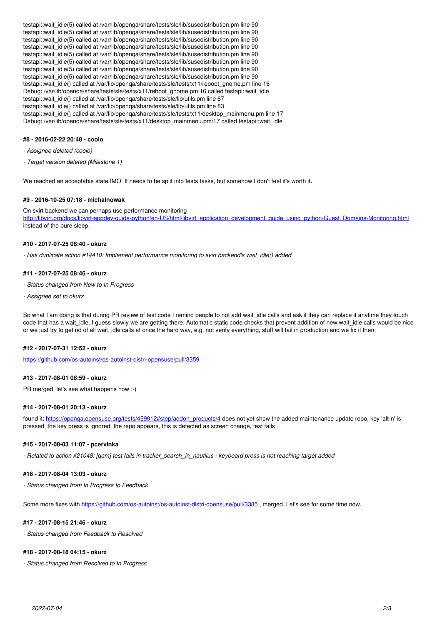testapi::wait\_idle(5) called at /var/lib/openqa/share/tests/sle/lib/susedistribution.pm line 90 testapi::wait\_idle(5) called at /var/lib/openqa/share/tests/sle/lib/susedistribution.pm line 90 testapi::wait\_idle(5) called at /var/lib/openga/share/tests/sle/lib/susedistribution.pm line 90 testapi::wait\_idle(5) called at /var/lib/openqa/share/tests/sle/lib/susedistribution.pm line 90 testapi::wait\_idle(5) called at /var/lib/openga/share/tests/sle/lib/susedistribution.pm line 90 testapi::wait\_idle(5) called at /var/lib/openga/share/tests/sle/lib/susedistribution.pm line 90 testapi::wait\_idle(5) called at /var/lib/openqa/share/tests/sle/lib/susedistribution.pm line 90 testapi::wait\_idle(5) called at /var/lib/openqa/share/tests/sle/lib/susedistribution.pm line 90 testapi::wait\_idle() called at /var/lib/openqa/share/tests/sle/tests/x11/reboot\_gnome.pm line 16 Debug: /var/lib/openqa/share/tests/sle/tests/x11/reboot\_gnome.pm:16 called testapi::wait\_idle testapi::wait\_idle() called at /var/lib/openqa/share/tests/sle/lib/utils.pm line 67 testapi::wait\_idle() called at /var/lib/openqa/share/tests/sle/lib/utils.pm line 83 testapi::wait\_idle() called at /var/lib/openqa/share/tests/sle/tests/x11/desktop\_mainmenu.pm line 17 Debug: /var/lib/openqa/share/tests/sle/tests/x11/desktop\_mainmenu.pm:17 called testapi::wait\_idle

## **#8 - 2016-02-22 20:48 - coolo**

*- Assignee deleted (coolo)*

*- Target version deleted (Milestone 1)*

We reached an acceptable state IMO. It needs to be split into tests tasks, but somehow I don't feel it's worth it.

#### **#9 - 2016-10-25 07:18 - michalnowak**

On svirt backend we can perhaps use performance monitoring [http://libvirt.org/docs/libvirt-appdev-guide-python/en-US/html/libvirt\\_application\\_development\\_guide\\_using\\_python-Guest\\_Domains-Monitoring.html](http://libvirt.org/docs/libvirt-appdev-guide-python/en-US/html/libvirt_application_development_guide_using_python-Guest_Domains-Monitoring.html) instead of the pure sleep.

## **#10 - 2017-07-25 08:40 - okurz**

*- Has duplicate action #14410: Implement performance monitoring to svirt backend's wait\_idle() added*

#### **#11 - 2017-07-25 08:46 - okurz**

- *Status changed from New to In Progress*
- *Assignee set to okurz*

So what I am doing is that during PR review of test code I remind people to not add wait\_idle calls and ask if they can replace it anytime they touch code that has a wait idle. I guess slowly we are getting there. Automatic static code checks that prevent addition of new wait idle calls would be nice or we just try to get rid of all wait\_idle calls at once the hard way, e.g. not verify everything, stuff will fail in production and we fix it then.

#### **#12 - 2017-07-31 12:52 - okurz**

<https://github.com/os-autoinst/os-autoinst-distri-opensuse/pull/3359>

#### **#13 - 2017-08-01 08:59 - okurz**

PR merged, let's see what happens now :-)

#### **#14 - 2017-08-01 20:13 - okurz**

found it: https://openga.opensuse.org/tests/459912#step/addon\_products/4 does not yet show the added maintenance update repo, key 'alt-n' is pressed, the key press is ignored, the repo appears, this is detected as screen change, test fails

#### **#15 - 2017-08-03 11:07 - pcervinka**

*- Related to action #21048: [qam] test fails in tracker\_search\_in\_nautilus - keyboard press is not reaching target added*

## **#16 - 2017-08-04 13:03 - okurz**

*- Status changed from In Progress to Feedback*

Some more fixes with <https://github.com/os-autoinst/os-autoinst-distri-opensuse/pull/3385> , merged. Let's see for some time now.

## **#17 - 2017-08-15 21:46 - okurz**

*- Status changed from Feedback to Resolved*

#### **#18 - 2017-08-18 04:15 - okurz**

*- Status changed from Resolved to In Progress*